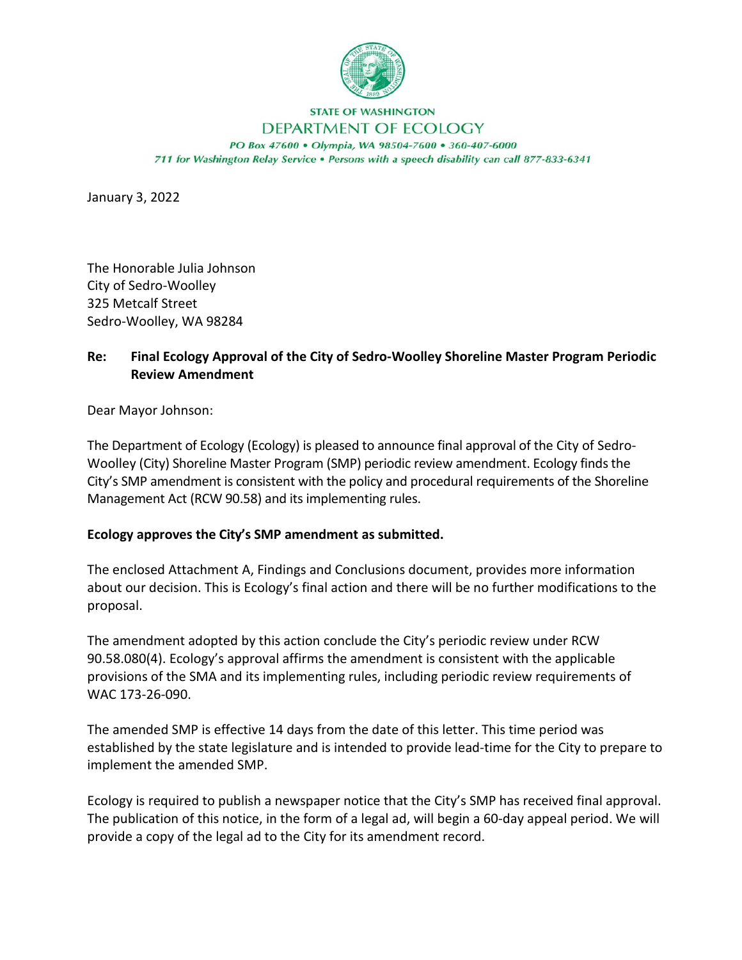

## **STATE OF WASHINGTON**

## DEPARTMENT OF ECOLOGY

PO Box 47600 · Olympia, WA 98504-7600 · 360-407-6000 711 for Washington Relay Service . Persons with a speech disability can call 877-833-6341

January 3, 2022

The Honorable Julia Johnson City of Sedro-Woolley 325 Metcalf Street Sedro-Woolley, WA 98284

## **Re: Final Ecology Approval of the City of Sedro-Woolley Shoreline Master Program Periodic Review Amendment**

Dear Mayor Johnson:

The Department of Ecology (Ecology) is pleased to announce final approval of the City of Sedro-Woolley (City) Shoreline Master Program (SMP) periodic review amendment. Ecology finds the City's SMP amendment is consistent with the policy and procedural requirements of the Shoreline Management Act (RCW 90.58) and its implementing rules.

## **Ecology approves the City's SMP amendment as submitted.**

The enclosed Attachment A, Findings and Conclusions document, provides more information about our decision. This is Ecology's final action and there will be no further modifications to the proposal.

The amendment adopted by this action conclude the City's periodic review under RCW 90.58.080(4). Ecology's approval affirms the amendment is consistent with the applicable provisions of the SMA and its implementing rules, including periodic review requirements of WAC 173-26-090.

The amended SMP is effective 14 days from the date of this letter. This time period was established by the state legislature and is intended to provide lead-time for the City to prepare to implement the amended SMP.

Ecology is required to publish a newspaper notice that the City's SMP has received final approval. The publication of this notice, in the form of a legal ad, will begin a 60-day appeal period. We will provide a copy of the legal ad to the City for its amendment record.